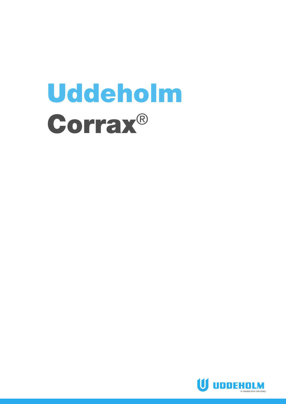# Uddeholm Corrax®

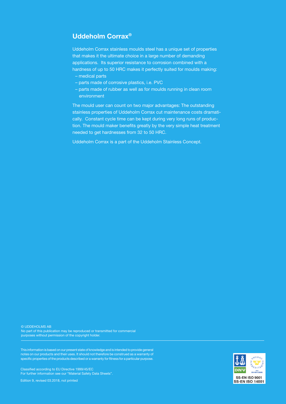## **Uddeholm Corrax®**

Uddeholm Corrax stainless moulds steel has a unique set of properties that makes it the ultimate choice in a large number of demanding applications. Its superior resistance to corrosion combined with a hardness of up to 50 HRC makes it perfectly suited for moulds making:

- medical parts
- parts made of corrosive plastics, i.e. PVC
- parts made of rubber as well as for moulds running in clean room environment

The mould user can count on two major advantages: The outstanding stainless properties of Uddeholm Corrax cut maintenance costs dramatically. Constant cycle time can be kept during very long runs of production. The mould maker benefits greatly by the very simple heat treatment needed to get hardnesses from 32 to 50 HRC.

Uddeholm Corrax is a part of the Uddeholm Stainless Concept.

© UDDEHOLMS AB No part of this publication may be reproduced or transmitted for commercial purposes without permission of the copyright holder.

This information is based on our present state of knowledge and is intended to provide general notes on our products and their uses. It should not therefore be construed as a warranty of specific properties of the products described or a warranty for fitness for a particular purpose.

Classified according to EU Directive 1999/45/EC For further information see our "Material Safety Data Sheets".

Edition 9, revised 03.2018, not printed

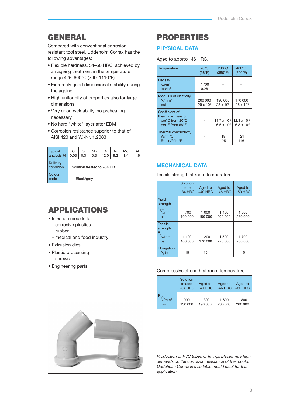# GENERAL

Compared with conventional corrosion resistant tool steel, Uddeholm Corrax has the following advantages:

- Flexible hardness, 34–50 HRC, achieved by an ageing treatment in the temperature range 425–600°C (790–1110°F)
- Extremely good dimensional stability during the ageing
- High uniformity of properties also for large dimensions
- Very good weldability, no preheating necessary
- No hard "white" layer after EDM
- Corrosion resistance superior to that of AISI 420 and W.-Nr. 1.2083

| <b>Typical</b><br>analysis % | C<br>0.03                     | Si<br>0.3  | Mn<br>0.3 | Cr<br>12.0 | Ni<br>9.2 | Mo<br>1.4 | Al<br>1.6 |
|------------------------------|-------------------------------|------------|-----------|------------|-----------|-----------|-----------|
| <b>Delivery</b><br>condition | Solution treated to $~14$ HRC |            |           |            |           |           |           |
| Colour<br>code               |                               | Black/grey |           |            |           |           |           |

# APPLICATIONS

- Injection moulds for
	- corrosive plastics
	- rubber
	- medical and food industry
- Extrusion dies
- Plastic processing
- screws
- Engineering parts

## PROPERTIES

## **PHYSICAL DATA**

Aged to approx. 46 HRC.

| Temperature                                                               | $20^{\circ}$ C<br>(68°F)      | $200^{\circ}$ C<br>(390°F)  | $400^{\circ}$ C<br>(750°F)                                            |
|---------------------------------------------------------------------------|-------------------------------|-----------------------------|-----------------------------------------------------------------------|
| Density<br>kq/m <sup>3</sup><br>lbs/in <sup>3</sup>                       | 7700<br>0.28                  |                             |                                                                       |
| Modulus of elasticity<br>N/mm <sup>2</sup><br>psi                         | 200 000<br>$29 \times 10^{6}$ | 190 000<br>$28 \times 10^6$ | 170 000<br>$25 \times 10^{6}$                                         |
| Coefficient of<br>thermal expansion<br>per°C from 20°C<br>per°F from 68°F |                               | $6.5 \times 10^{-6}$        | $11.7 \times 10^{-6}$ 12.3 x 10 <sup>-6</sup><br>$6.8 \times 10^{-6}$ |
| Thermal conductivity<br>W/m °C<br>Btu in/ft <sup>2</sup> h $\degree$ F    |                               | 18<br>125                   | 21<br>146                                                             |

## **MECHANICAL DATA**

Tensile strength at room temperature.

|                                                              | Solution<br>treated<br>$~1$ -34 HRC | Aged to<br>$~140$ HRC | Aged to<br>$~146$ HRC | Aged to<br>$~50$ HRC |
|--------------------------------------------------------------|-------------------------------------|-----------------------|-----------------------|----------------------|
| Yield<br>strength<br>$R_{p0,2}$<br>N/mm <sup>2</sup><br>psi  | 700<br>100 000                      | 1 000<br>150 000      | 1 400<br>200 000      | 1 600<br>230 000     |
| <b>Tensile</b><br>strength<br>R.<br>N/mm <sup>2</sup><br>psi | 1 100<br>160 000                    | 1 200<br>170 000      | 1 500<br>220 000      | 1700<br>250 000      |
| Elongation<br>$A_{5\%}$                                      | 15                                  | 15                    | 11                    | 10                   |

#### Compressive strength at room temperature.

|          | Solution<br>treated<br>$~54$ HRC | Aged to<br>$~140$ HRC | Aged to<br>$~146$ HRC | Aged to<br>$~50$ HRC |
|----------|----------------------------------|-----------------------|-----------------------|----------------------|
| $N/mm^2$ | 900                              | 1 300                 | 1 600                 | 1800                 |
| psi      | 130 000                          | 190 000               | 230 000               | 260 000              |



*Production of PVC tubes or fittings places very high demands on the corrosion resistance of the mould. Uddeholm Corrax is a suitable mould steel for this application.*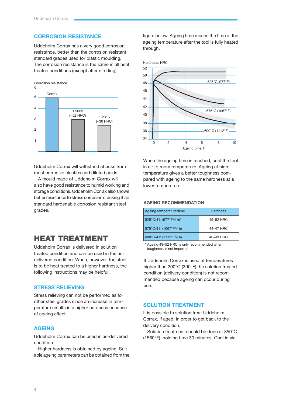## **CORROSION RESISTANCE**

Uddeholm Corrax has a very good corrosion resistance, better than the corrosion resistant standard grades used for plastic moulding. The corrosion resistance is the same in all heat treated conditions (except after nitriding).



Uddeholm Corrax will withstand attacks from most corrosive plastics and diluted acids.

A mould made of Uddeholm Corrax will also have good resistance to humid working and storage conditions. Uddeholm Corrax also shows better resistance to stress corrosion cracking than standard hardenable corrosion resistant steel grades.

## HEAT TREATMENT

Uddeholm Corrax is delivered in solution treated condition and can be used in the asdelivered condition. When, however, the steel is to be heat treated to a higher hardness, the following instructions may be helpful.

## **STRESS RELIEVING**

Stress relieving can not be performed as for other steel grades since an increase in temperature results in a higher hardness because of ageing effect.

## **AGEING**

Uddeholm Corrax can be used in as-delivered condition.

Higher hardness is obtained by ageing. Suitable ageing parameters can be obtained from the figure below. Ageing time means the time at the ageing temperature after the tool is fully heated through.



When the ageing time is reached, cool the tool in air to room temperature. Ageing at high temperature gives a better toughness compared with ageing to the same hardness at a lower temperature.

## **AGEING RECOMMENDATION**

| Ageing temperature/time | <b>Hardness</b> |
|-------------------------|-----------------|
| 525°C/4 h (977°F/4 h)*  | 49-52 HRC       |
| 575°C/4 h (1067°F/4 h)  | 44-47 HRC       |
| 600°C/4 h (1112°F/4 h)  | 40-43 HRC       |

\* Ageing 49–52 HRC is only recommended when toughness is not important

If Uddeholm Corrax is used at temperatures higher than 200°C (390°F) the solution treated condition (delivery condition) is not recommended because ageing can occur during use.

#### **SOLUTION TREATMENT**

It is possible to solution treat Uddeholm Corrax, if aged, in order to get back to the delivery condition.

Solution treatment should be done at 850°C (1560°F), holding time 30 minutes. Cool in air.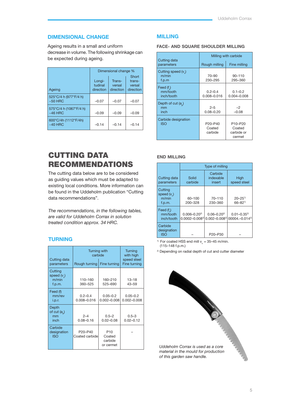## **DIMENSIONAL CHANGE**

Ageing results in a small and uniform decrease in volume. The following shrinkage can be expected during ageing.

|                                      | Dimensional change %           |                               |                                        |  |
|--------------------------------------|--------------------------------|-------------------------------|----------------------------------------|--|
| Ageing                               | Longi-<br>tudinal<br>direction | Trans-<br>versal<br>direction | Short<br>trans-<br>versal<br>direction |  |
| 525°C/4 h (977°F/4 h)<br>$~50$ HRC   | $-0.07$                        | $-0.07$                       | $-0.07$                                |  |
| 575°C/4 h (1067°F/4 h)<br>$~146$ HRC | $-0.09$                        | $-0.09$                       | $-0.09$                                |  |
| 600°C/4h (1112°F/4h)<br>$~140$ HRC   | $-0.14$                        | $-0.14$                       | $-0.14$                                |  |

# CUTTING DATA RECOMMENDATIONS

The cutting data below are to be considered as guiding values which must be adapted to existing local conditions. More information can be found in the Uddeholm publication "Cutting data recommendations".

*The recommendations, in the following tables, are valid for Uddeholm Corrax in solution treated condition approx. 34 HRC.*

## **TURNING**

| Cutting data                               | <b>Turning with</b><br>carbide                     | <b>Turning</b><br>with high<br>speed steel |                                 |
|--------------------------------------------|----------------------------------------------------|--------------------------------------------|---------------------------------|
| parameters                                 | Rough turning                                      | Fine turning                               | Fine turning                    |
| Cutting<br>speed $(vn)$<br>m/min<br>f.p.m. | 110-160<br>360-525                                 | 160-210<br>525-690                         | $13 - 18$<br>$43 - 59$          |
| Feed (f)<br>mm/rev<br>i.p.r.               | $0.2 - 0.4$<br>0.008-0.016                         | $0.05 - 0.2$<br>$0.002 - 0.008$            | $0.05 - 0.2$<br>$0.002 - 0.008$ |
| Depth<br>of $cut(a)$<br>mm<br>inch         | $2 - 4$<br>$0.08 - 0.16$                           | $0.5 - 2$<br>$0.02 - 0.08$                 | $0.5 - 3$<br>$0.02 - 0.12$      |
| Carbide<br>designation<br><b>ISO</b>       | P <sub>20</sub> -P <sub>40</sub><br>Coated carbide | P10<br>Coated<br>carbide<br>or cermet      |                                 |

#### **MILLING**

## **FACE- AND SQUARE SHOULDER MILLING**

|                                       | Milling with carbide                                  |                                           |  |  |
|---------------------------------------|-------------------------------------------------------|-------------------------------------------|--|--|
| Cutting data<br>parameters            | Rough milling                                         | Fine milling                              |  |  |
| Cutting speed $(v)$<br>m/min<br>f.p.m | 70-90<br>230-295                                      | $90 - 110$<br>295-360                     |  |  |
| Feed $(f)$<br>mm/tooth<br>inch/tooth  | $0.2 - 0.4$<br>0.008-0.016                            | $0.1 - 0.2$<br>$0.004 - 0.008$            |  |  |
| Depth of cut $(a)$<br>mm<br>inch      | $2 - 5$<br>$0.08 - 0.20$                              | $-2$<br>$-0.08$                           |  |  |
| Carbide designation<br><b>ISO</b>     | P <sub>20</sub> -P <sub>40</sub><br>Coated<br>carbide | P10-P20<br>Coated<br>carbide or<br>cermet |  |  |

## **END MILLING**

|                                             | Type of milling                            |                                          |                                                    |  |  |
|---------------------------------------------|--------------------------------------------|------------------------------------------|----------------------------------------------------|--|--|
| Cutting data<br>parameters                  | Solid<br>carbide                           | Carbide<br>indexable<br>insert           | High<br>speed steel                                |  |  |
| Cutting<br>speed $(v_*)$<br>m/min<br>f.p.m. | 60-100<br>200-328                          | 70-110<br>230-360                        | $20 - 25$ <sup>1)</sup><br>$66 - 82$ <sup>1)</sup> |  |  |
| Feed $(f)$<br>mm/tooth<br>inch/tooth        | $0.006 - 0.20^{2}$<br>$0.0002 - 0.008^{2}$ | $0.06 - 0.20^{2}$<br>$0.002 - 0.008^{2}$ | $0.01 - 0.35^{2}$<br>00004. - 0.014 <sup>2)</sup>  |  |  |
| Carbide<br>designation<br><b>ISO</b>        |                                            | P20-P30                                  |                                                    |  |  |

<sup>1)</sup> For coated HSS end mill  $v_c = 35-45$  m/min. (115–148 f.p.m.)

<sup>2)</sup> Depending on radial depth of cut and cutter diameter

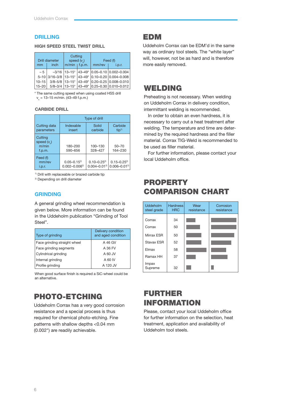## **DRILLING**

## **HIGH SPEED STEEL TWIST DRILL**

| mm        | <b>Drill diameter</b><br><i>inch</i> | Cutting<br>speed $(v_*)$<br>$m/min$   f.p.m. |  | mm/rev | Feed (f)<br>i.p.r.                                  |
|-----------|--------------------------------------|----------------------------------------------|--|--------|-----------------------------------------------------|
| $-5$      |                                      |                                              |  |        | $-3/16$   13-15*   43-49*   0.05-0.10   0.002-0.004 |
|           |                                      |                                              |  |        | 5-10 3/16-3/8 13-15* 43-49* 0.10-0.20 0.004-0.008   |
| $10 - 15$ |                                      |                                              |  |        | 3/8-5/8   13-15*   43-49*   0.20-0.25   0.008-0.010 |
| $15 - 20$ |                                      |                                              |  |        | 5/8-3/4   13-15*   43-49*   0.25-0.30   0.010-0.012 |

\* The same cutting speed when using coated HSS drill  $v_c = 13 - 15$  m/min. (43–49 f.p.m.)

#### **CARBIDE DRILL**

|                                             | Type of drill                            |                                         |                                         |  |  |
|---------------------------------------------|------------------------------------------|-----------------------------------------|-----------------------------------------|--|--|
| Cutting data<br>parameters                  | Indexable<br>insert                      | Solid<br>carbide                        | Carbide<br>tip <sup>1</sup>             |  |  |
| Cutting<br>speed $(v_2)$<br>m/min<br>f.p.m. | 180-200<br>590-656                       | 100-130<br>328-427                      | $50 - 70$<br>164-230                    |  |  |
| Feed (f)<br>mm/rev<br>i.p.r.                | $0.05 - 0.15^{2}$<br>$0.002 - 0.006^{2}$ | $0.10 - 0.25^{2}$<br>$0.004 - 0.01^{2}$ | $0.15 - 0.25^{2}$<br>$0.006 - 0.01^{2}$ |  |  |

1) Drill with replaceable or brazed carbide tip

2) Depending on drill diameter

## **GRINDING**

A general grinding wheel recommendation is given below. More information can be found in the Uddeholm publication "Grinding of Tool Steel".

| Type of grinding             | Delivery condition<br>and aged condition |
|------------------------------|------------------------------------------|
| Face grinding straight wheel | A 46 GV                                  |
| Face grinding segments       | A 36 FV                                  |
| Cylindrical grinding         | A 60 JV                                  |
| Internal grinding            | A 60 IV                                  |
| Profile grinding             | A 120 JV                                 |

When good surface finish is required a SiC-wheel could be an alternative.

# PHOTO-ETCHING

Uddeholm Corrax has a very good corrosion resistance and a special process is thus required for chemical photo-etching. Fine patterns with shallow depths <0.04 mm (0.002") are readily achievable.

## EDM

Uddeholm Corrax can be EDM'd in the same way as ordinary tool steels. The "white layer" will, however, not be as hard and is therefore more easily removed.

## WELDING

PROPERTY

Preheating is not necessary. When welding on Uddeholm Corrax in delivery condition, intermittant welding is recommended.

In order to obtain an even hardness, it is necessary to carry out a heat treatment after welding. The temperature and time are determined by the required hardness and the filler material. Corrax TIG-Weld is recommended to be used as filler material.

For further information, please contact your local Uddeholm office.

COMPARISON CHART

| Uddeholm<br>steel grade | <b>Hardness</b><br><b>HRC</b> | Wear<br>resistance | Corrosion<br>resistance |
|-------------------------|-------------------------------|--------------------|-------------------------|
| Corrax                  | 34                            |                    |                         |
| Corrax                  | 50                            |                    |                         |
| Mirrax ESR              | 50                            |                    |                         |
| Stavax ESR              | 52                            |                    |                         |
| Elmax                   | 58                            |                    |                         |
| Ramax HH                | 37                            |                    |                         |
| Impax<br>Supreme        | 32                            |                    |                         |

# FURTHER INFORMATION

Please, contact your local Uddeholm office for further information on the selection, heat treatment, application and availability of Uddeholm tool steels.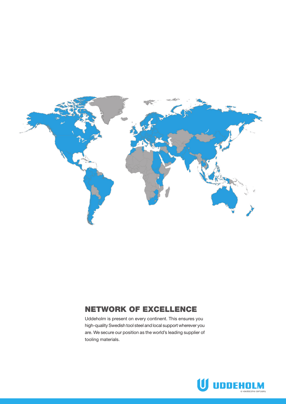

# NETWORK OF EXCELLENCE

Uddeholm is present on every continent. This ensures you high-quality Swedish tool steel and local support wherever you are. We secure our position as the world's leading supplier of tooling materials.